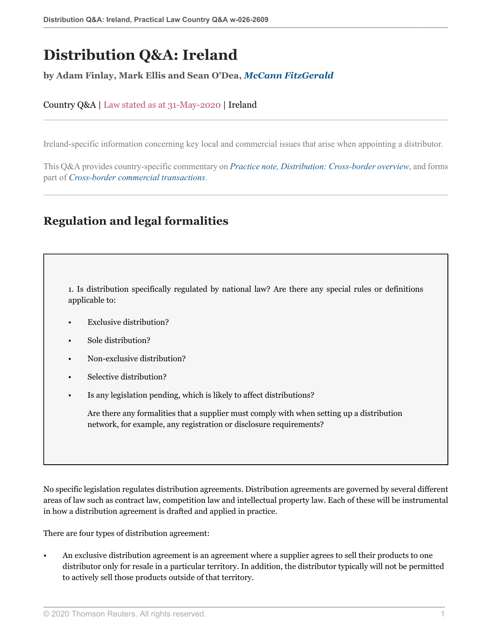# **Distribution Q&A: Ireland**

#### **by Adam Finlay, Mark Ellis and Sean O'Dea,** *[McCann FitzGerald](https://uk.practicallaw.thomsonreuters.com/Browse/Home/About/Contributor/McCannFitzGerald )*

#### Country Q&A | Law stated as at 31-May-2020 | Ireland

Ireland-specific information concerning key local and commercial issues that arise when appointing a distributor.

This Q&A provides country-specific commentary on *[Practice note, Distribution: Cross-border overview](http://uk.practicallaw.thomsonreuters.com/1-107-4042?originationContext=document&vr=3.0&rs=PLUK1.0&transitionType=DocumentItem&contextData=(sc.Default))*, and forms part of *[Cross-border commercial transactions](https://uk.practicallaw.thomsonreuters.com/Browse/Home/International/Crossbordercommercialtransactions )*.

# **Regulation and legal formalities**

<span id="page-0-0"></span>1. Is distribution specifically regulated by national law? Are there any special rules or definitions applicable to:

- Exclusive distribution?
- Sole distribution?
- Non-exclusive distribution?
- Selective distribution?
- Is any legislation pending, which is likely to affect distributions?

Are there any formalities that a supplier must comply with when setting up a distribution network, for example, any registration or disclosure requirements?

No specific legislation regulates distribution agreements. Distribution agreements are governed by several different areas of law such as contract law, competition law and intellectual property law. Each of these will be instrumental in how a distribution agreement is drafted and applied in practice.

There are four types of distribution agreement:

• An exclusive distribution agreement is an agreement where a supplier agrees to sell their products to one distributor only for resale in a particular territory. In addition, the distributor typically will not be permitted to actively sell those products outside of that territory.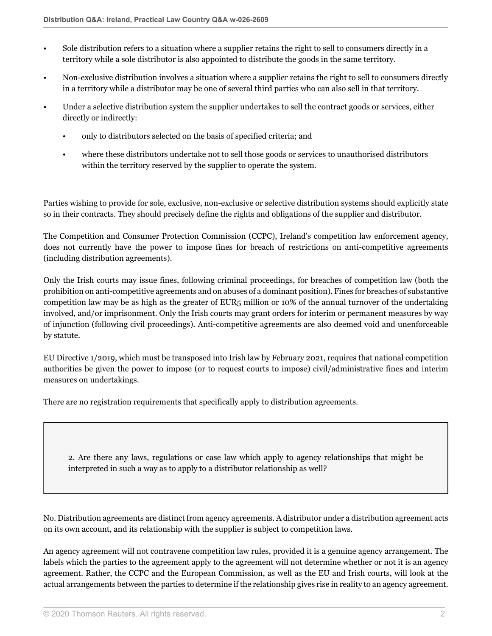- Sole distribution refers to a situation where a supplier retains the right to sell to consumers directly in a territory while a sole distributor is also appointed to distribute the goods in the same territory.
- Non-exclusive distribution involves a situation where a supplier retains the right to sell to consumers directly in a territory while a distributor may be one of several third parties who can also sell in that territory.
- Under a selective distribution system the supplier undertakes to sell the contract goods or services, either directly or indirectly:
	- only to distributors selected on the basis of specified criteria; and
	- where these distributors undertake not to sell those goods or services to unauthorised distributors within the territory reserved by the supplier to operate the system.

Parties wishing to provide for sole, exclusive, non-exclusive or selective distribution systems should explicitly state so in their contracts. They should precisely define the rights and obligations of the supplier and distributor.

The Competition and Consumer Protection Commission (CCPC), Ireland's competition law enforcement agency, does not currently have the power to impose fines for breach of restrictions on anti-competitive agreements (including distribution agreements).

Only the Irish courts may issue fines, following criminal proceedings, for breaches of competition law (both the prohibition on anti-competitive agreements and on abuses of a dominant position). Fines for breaches of substantive competition law may be as high as the greater of EUR5 million or 10% of the annual turnover of the undertaking involved, and/or imprisonment. Only the Irish courts may grant orders for interim or permanent measures by way of injunction (following civil proceedings). Anti-competitive agreements are also deemed void and unenforceable by statute.

EU Directive 1/2019, which must be transposed into Irish law by February 2021, requires that national competition authorities be given the power to impose (or to request courts to impose) civil/administrative fines and interim measures on undertakings.

There are no registration requirements that specifically apply to distribution agreements.

2. Are there any laws, regulations or case law which apply to agency relationships that might be interpreted in such a way as to apply to a distributor relationship as well?

No. Distribution agreements are distinct from agency agreements. A distributor under a distribution agreement acts on its own account, and its relationship with the supplier is subject to competition laws.

An agency agreement will not contravene competition law rules, provided it is a genuine agency arrangement. The labels which the parties to the agreement apply to the agreement will not determine whether or not it is an agency agreement. Rather, the CCPC and the European Commission, as well as the EU and Irish courts, will look at the actual arrangements between the parties to determine if the relationship gives rise in reality to an agency agreement.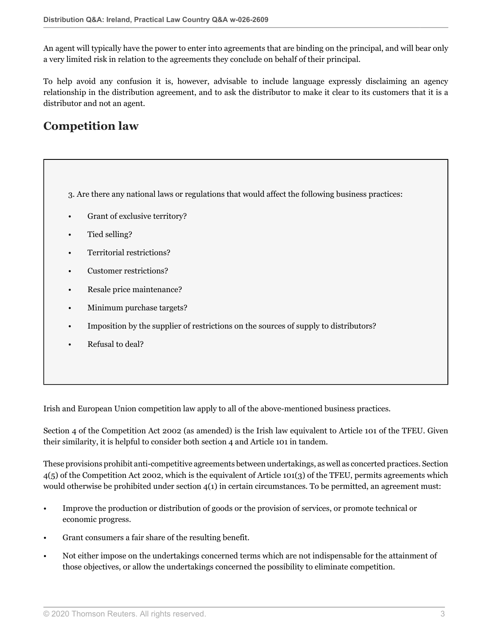An agent will typically have the power to enter into agreements that are binding on the principal, and will bear only a very limited risk in relation to the agreements they conclude on behalf of their principal.

To help avoid any confusion it is, however, advisable to include language expressly disclaiming an agency relationship in the distribution agreement, and to ask the distributor to make it clear to its customers that it is a distributor and not an agent.

# **Competition law**

<span id="page-2-0"></span>3. Are there any national laws or regulations that would affect the following business practices:

- Grant of exclusive territory?
- Tied selling?
- Territorial restrictions?
- Customer restrictions?
- Resale price maintenance?
- Minimum purchase targets?
- Imposition by the supplier of restrictions on the sources of supply to distributors?
- Refusal to deal?

Irish and European Union competition law apply to all of the above-mentioned business practices.

Section 4 of the Competition Act 2002 (as amended) is the Irish law equivalent to Article 101 of the TFEU. Given their similarity, it is helpful to consider both section 4 and Article 101 in tandem.

These provisions prohibit anti-competitive agreements between undertakings, as well as concerted practices. Section 4(5) of the Competition Act 2002, which is the equivalent of Article 101(3) of the TFEU, permits agreements which would otherwise be prohibited under section 4(1) in certain circumstances. To be permitted, an agreement must:

- Improve the production or distribution of goods or the provision of services, or promote technical or economic progress.
- Grant consumers a fair share of the resulting benefit.
- Not either impose on the undertakings concerned terms which are not indispensable for the attainment of those objectives, or allow the undertakings concerned the possibility to eliminate competition.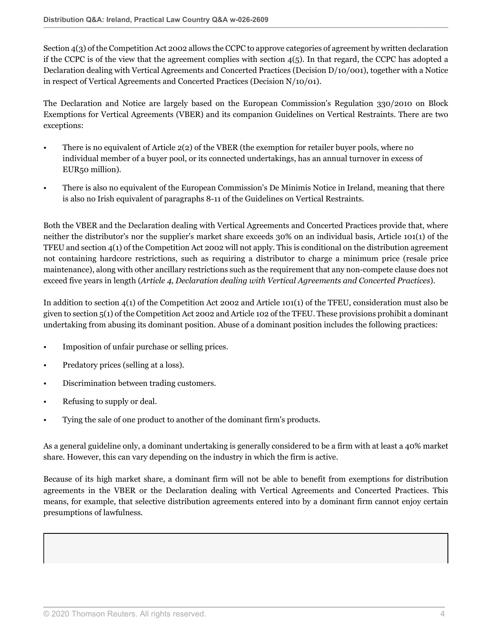Section 4(3) of the Competition Act 2002 allows the CCPC to approve categories of agreement by written declaration if the CCPC is of the view that the agreement complies with section  $4(5)$ . In that regard, the CCPC has adopted a Declaration dealing with Vertical Agreements and Concerted Practices (Decision D/10/001), together with a Notice in respect of Vertical Agreements and Concerted Practices (Decision N/10/01).

The Declaration and Notice are largely based on the European Commission's Regulation 330/2010 on Block Exemptions for Vertical Agreements (VBER) and its companion Guidelines on Vertical Restraints. There are two exceptions:

- There is no equivalent of Article 2(2) of the VBER (the exemption for retailer buyer pools, where no individual member of a buyer pool, or its connected undertakings, has an annual turnover in excess of EUR50 million).
- There is also no equivalent of the European Commission's De Minimis Notice in Ireland, meaning that there is also no Irish equivalent of paragraphs 8-11 of the Guidelines on Vertical Restraints.

Both the VBER and the Declaration dealing with Vertical Agreements and Concerted Practices provide that, where neither the distributor's nor the supplier's market share exceeds 30% on an individual basis, Article 101(1) of the TFEU and section 4(1) of the Competition Act 2002 will not apply. This is conditional on the distribution agreement not containing hardcore restrictions, such as requiring a distributor to charge a minimum price (resale price maintenance), along with other ancillary restrictions such as the requirement that any non-compete clause does not exceed five years in length (*Article 4, Declaration dealing with Vertical Agreements and Concerted Practices*).

In addition to section 4(1) of the Competition Act 2002 and Article 101(1) of the TFEU, consideration must also be given to section 5(1) of the Competition Act 2002 and Article 102 of the TFEU. These provisions prohibit a dominant undertaking from abusing its dominant position. Abuse of a dominant position includes the following practices:

- Imposition of unfair purchase or selling prices.
- Predatory prices (selling at a loss).
- Discrimination between trading customers.
- Refusing to supply or deal.
- Tying the sale of one product to another of the dominant firm's products.

As a general guideline only, a dominant undertaking is generally considered to be a firm with at least a 40% market share. However, this can vary depending on the industry in which the firm is active.

Because of its high market share, a dominant firm will not be able to benefit from exemptions for distribution agreements in the VBER or the Declaration dealing with Vertical Agreements and Concerted Practices. This means, for example, that selective distribution agreements entered into by a dominant firm cannot enjoy certain presumptions of lawfulness.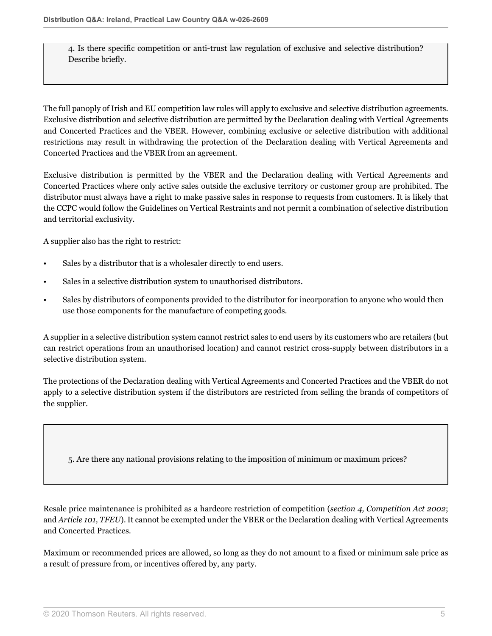4. Is there specific competition or anti-trust law regulation of exclusive and selective distribution? Describe briefly.

The full panoply of Irish and EU competition law rules will apply to exclusive and selective distribution agreements. Exclusive distribution and selective distribution are permitted by the Declaration dealing with Vertical Agreements and Concerted Practices and the VBER. However, combining exclusive or selective distribution with additional restrictions may result in withdrawing the protection of the Declaration dealing with Vertical Agreements and Concerted Practices and the VBER from an agreement.

Exclusive distribution is permitted by the VBER and the Declaration dealing with Vertical Agreements and Concerted Practices where only active sales outside the exclusive territory or customer group are prohibited. The distributor must always have a right to make passive sales in response to requests from customers. It is likely that the CCPC would follow the Guidelines on Vertical Restraints and not permit a combination of selective distribution and territorial exclusivity.

A supplier also has the right to restrict:

- Sales by a distributor that is a wholesaler directly to end users.
- Sales in a selective distribution system to unauthorised distributors.
- Sales by distributors of components provided to the distributor for incorporation to anyone who would then use those components for the manufacture of competing goods.

A supplier in a selective distribution system cannot restrict sales to end users by its customers who are retailers (but can restrict operations from an unauthorised location) and cannot restrict cross-supply between distributors in a selective distribution system.

The protections of the Declaration dealing with Vertical Agreements and Concerted Practices and the VBER do not apply to a selective distribution system if the distributors are restricted from selling the brands of competitors of the supplier.

5. Are there any national provisions relating to the imposition of minimum or maximum prices?

Resale price maintenance is prohibited as a hardcore restriction of competition (*section 4, Competition Act 2002*; and *Article 101, TFEU*). It cannot be exempted under the VBER or the Declaration dealing with Vertical Agreements and Concerted Practices.

Maximum or recommended prices are allowed, so long as they do not amount to a fixed or minimum sale price as a result of pressure from, or incentives offered by, any party.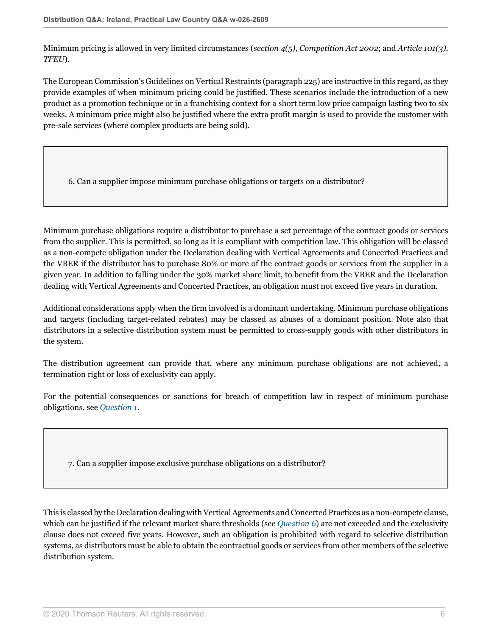Minimum pricing is allowed in very limited circumstances (*section 4(5), Competition Act 2002*; and *Article 101(3), TFEU*).

The European Commission's Guidelines on Vertical Restraints (paragraph 225) are instructive in this regard, as they provide examples of when minimum pricing could be justified. These scenarios include the introduction of a new product as a promotion technique or in a franchising context for a short term low price campaign lasting two to six weeks. A minimum price might also be justified where the extra profit margin is used to provide the customer with pre-sale services (where complex products are being sold).

<span id="page-5-0"></span>6. Can a supplier impose minimum purchase obligations or targets on a distributor?

Minimum purchase obligations require a distributor to purchase a set percentage of the contract goods or services from the supplier. This is permitted, so long as it is compliant with competition law. This obligation will be classed as a non-compete obligation under the Declaration dealing with Vertical Agreements and Concerted Practices and the VBER if the distributor has to purchase 80% or more of the contract goods or services from the supplier in a given year. In addition to falling under the 30% market share limit, to benefit from the VBER and the Declaration dealing with Vertical Agreements and Concerted Practices, an obligation must not exceed five years in duration.

Additional considerations apply when the firm involved is a dominant undertaking. Minimum purchase obligations and targets (including target-related rebates) may be classed as abuses of a dominant position. Note also that distributors in a selective distribution system must be permitted to cross-supply goods with other distributors in the system.

The distribution agreement can provide that, where any minimum purchase obligations are not achieved, a termination right or loss of exclusivity can apply.

For the potential consequences or sanctions for breach of competition law in respect of minimum purchase obligations, see *[Question 1](#page-0-0)*.

<span id="page-5-1"></span>7. Can a supplier impose exclusive purchase obligations on a distributor?

This is classed by the Declaration dealing with Vertical Agreements and Concerted Practices as a non-compete clause, which can be justified if the relevant market share thresholds (see *[Question 6](#page-5-0)*) are not exceeded and the exclusivity clause does not exceed five years. However, such an obligation is prohibited with regard to selective distribution systems, as distributors must be able to obtain the contractual goods or services from other members of the selective distribution system.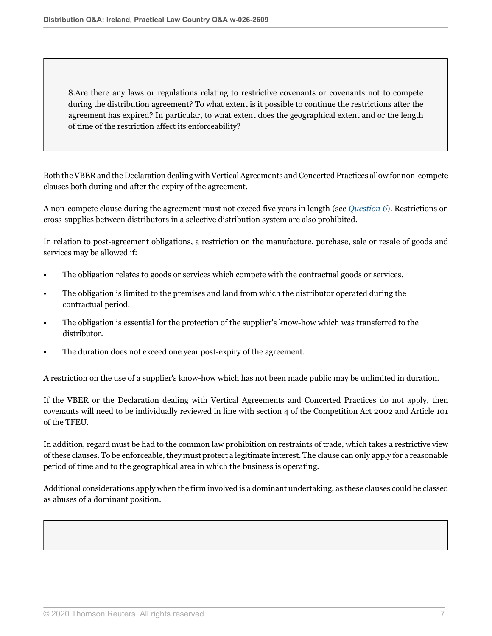8.Are there any laws or regulations relating to restrictive covenants or covenants not to compete during the distribution agreement? To what extent is it possible to continue the restrictions after the agreement has expired? In particular, to what extent does the geographical extent and or the length of time of the restriction affect its enforceability?

Both the VBER and the Declaration dealing with Vertical Agreements and Concerted Practices allow for non-compete clauses both during and after the expiry of the agreement.

A non-compete clause during the agreement must not exceed five years in length (see *[Question 6](#page-5-0)*). Restrictions on cross-supplies between distributors in a selective distribution system are also prohibited.

In relation to post-agreement obligations, a restriction on the manufacture, purchase, sale or resale of goods and services may be allowed if:

- The obligation relates to goods or services which compete with the contractual goods or services.
- The obligation is limited to the premises and land from which the distributor operated during the contractual period.
- The obligation is essential for the protection of the supplier's know-how which was transferred to the distributor.
- The duration does not exceed one year post-expiry of the agreement.

A restriction on the use of a supplier's know-how which has not been made public may be unlimited in duration.

If the VBER or the Declaration dealing with Vertical Agreements and Concerted Practices do not apply, then covenants will need to be individually reviewed in line with section 4 of the Competition Act 2002 and Article 101 of the TFEU.

In addition, regard must be had to the common law prohibition on restraints of trade, which takes a restrictive view of these clauses. To be enforceable, they must protect a legitimate interest. The clause can only apply for a reasonable period of time and to the geographical area in which the business is operating.

Additional considerations apply when the firm involved is a dominant undertaking, as these clauses could be classed as abuses of a dominant position.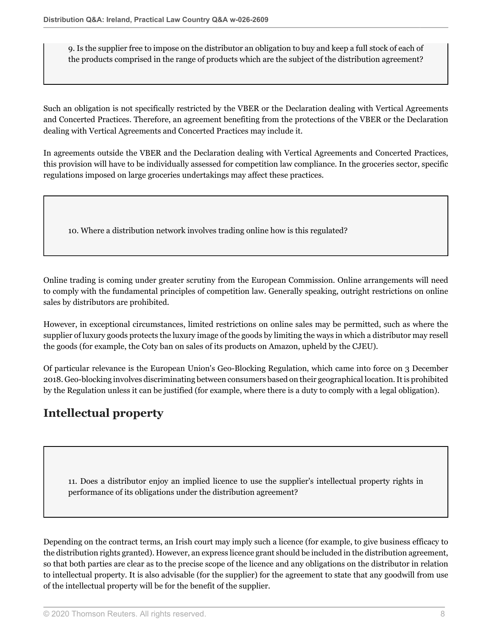9. Is the supplier free to impose on the distributor an obligation to buy and keep a full stock of each of the products comprised in the range of products which are the subject of the distribution agreement?

Such an obligation is not specifically restricted by the VBER or the Declaration dealing with Vertical Agreements and Concerted Practices. Therefore, an agreement benefiting from the protections of the VBER or the Declaration dealing with Vertical Agreements and Concerted Practices may include it.

In agreements outside the VBER and the Declaration dealing with Vertical Agreements and Concerted Practices, this provision will have to be individually assessed for competition law compliance. In the groceries sector, specific regulations imposed on large groceries undertakings may affect these practices.

10. Where a distribution network involves trading online how is this regulated?

Online trading is coming under greater scrutiny from the European Commission. Online arrangements will need to comply with the fundamental principles of competition law. Generally speaking, outright restrictions on online sales by distributors are prohibited.

However, in exceptional circumstances, limited restrictions on online sales may be permitted, such as where the supplier of luxury goods protects the luxury image of the goods by limiting the ways in which a distributor may resell the goods (for example, the Coty ban on sales of its products on Amazon, upheld by the CJEU).

Of particular relevance is the European Union's Geo-Blocking Regulation, which came into force on 3 December 2018. Geo-blocking involves discriminating between consumers based on their geographical location. It is prohibited by the Regulation unless it can be justified (for example, where there is a duty to comply with a legal obligation).

# **Intellectual property**

11. Does a distributor enjoy an implied licence to use the supplier's intellectual property rights in performance of its obligations under the distribution agreement?

Depending on the contract terms, an Irish court may imply such a licence (for example, to give business efficacy to the distribution rights granted). However, an express licence grant should be included in the distribution agreement, so that both parties are clear as to the precise scope of the licence and any obligations on the distributor in relation to intellectual property. It is also advisable (for the supplier) for the agreement to state that any goodwill from use of the intellectual property will be for the benefit of the supplier.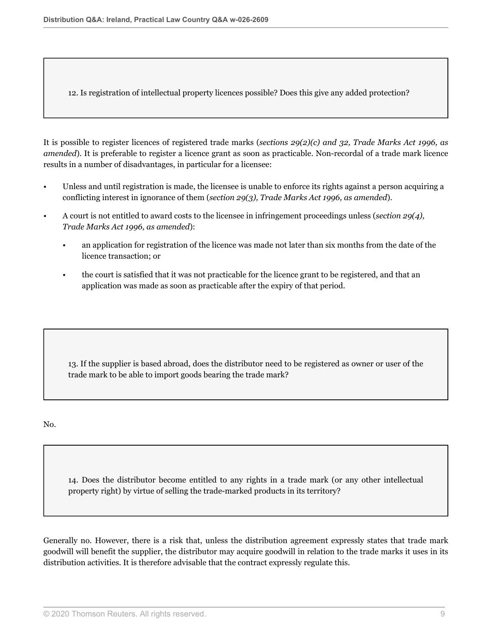12. Is registration of intellectual property licences possible? Does this give any added protection?

It is possible to register licences of registered trade marks (*sections 29(2)(c) and 32, Trade Marks Act 1996, as amended*). It is preferable to register a licence grant as soon as practicable. Non-recordal of a trade mark licence results in a number of disadvantages, in particular for a licensee:

- Unless and until registration is made, the licensee is unable to enforce its rights against a person acquiring a conflicting interest in ignorance of them (*section 29(3), Trade Marks Act 1996, as amended*).
- A court is not entitled to award costs to the licensee in infringement proceedings unless (*section 29(4), Trade Marks Act 1996, as amended*):
	- an application for registration of the licence was made not later than six months from the date of the licence transaction; or
	- the court is satisfied that it was not practicable for the licence grant to be registered, and that an application was made as soon as practicable after the expiry of that period.

13. If the supplier is based abroad, does the distributor need to be registered as owner or user of the trade mark to be able to import goods bearing the trade mark?

No.

14. Does the distributor become entitled to any rights in a trade mark (or any other intellectual property right) by virtue of selling the trade-marked products in its territory?

Generally no. However, there is a risk that, unless the distribution agreement expressly states that trade mark goodwill will benefit the supplier, the distributor may acquire goodwill in relation to the trade marks it uses in its distribution activities. It is therefore advisable that the contract expressly regulate this.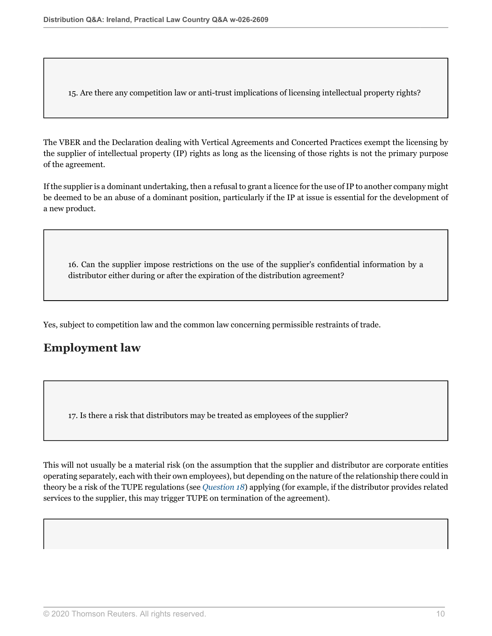15. Are there any competition law or anti-trust implications of licensing intellectual property rights?

The VBER and the Declaration dealing with Vertical Agreements and Concerted Practices exempt the licensing by the supplier of intellectual property (IP) rights as long as the licensing of those rights is not the primary purpose of the agreement.

If the supplier is a dominant undertaking, then a refusal to grant a licence for the use of IP to another company might be deemed to be an abuse of a dominant position, particularly if the IP at issue is essential for the development of a new product.

16. Can the supplier impose restrictions on the use of the supplier's confidential information by a distributor either during or after the expiration of the distribution agreement?

Yes, subject to competition law and the common law concerning permissible restraints of trade.

## **Employment law**

17. Is there a risk that distributors may be treated as employees of the supplier?

<span id="page-9-0"></span>This will not usually be a material risk (on the assumption that the supplier and distributor are corporate entities operating separately, each with their own employees), but depending on the nature of the relationship there could in theory be a risk of the TUPE regulations (see *[Question 18](#page-9-0)*) applying (for example, if the distributor provides related services to the supplier, this may trigger TUPE on termination of the agreement).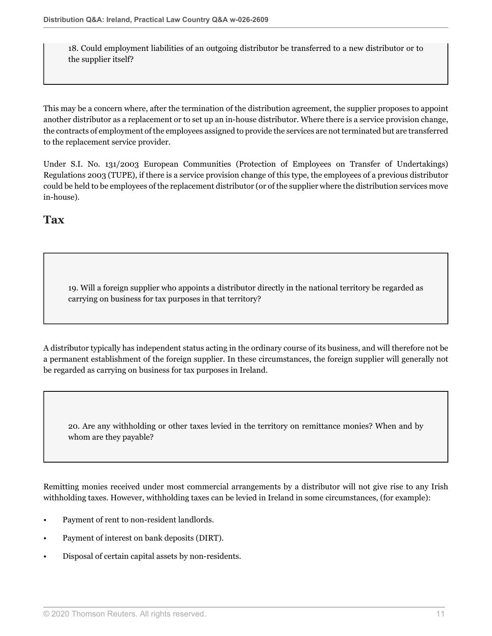18. Could employment liabilities of an outgoing distributor be transferred to a new distributor or to the supplier itself?

This may be a concern where, after the termination of the distribution agreement, the supplier proposes to appoint another distributor as a replacement or to set up an in-house distributor. Where there is a service provision change, the contracts of employment of the employees assigned to provide the services are not terminated but are transferred to the replacement service provider.

Under S.I. No. 131/2003 European Communities (Protection of Employees on Transfer of Undertakings) Regulations 2003 (TUPE), if there is a service provision change of this type, the employees of a previous distributor could be held to be employees of the replacement distributor (or of the supplier where the distribution services move in-house).

## **Tax**

19. Will a foreign supplier who appoints a distributor directly in the national territory be regarded as carrying on business for tax purposes in that territory?

A distributor typically has independent status acting in the ordinary course of its business, and will therefore not be a permanent establishment of the foreign supplier. In these circumstances, the foreign supplier will generally not be regarded as carrying on business for tax purposes in Ireland.

20. Are any withholding or other taxes levied in the territory on remittance monies? When and by whom are they payable?

Remitting monies received under most commercial arrangements by a distributor will not give rise to any Irish withholding taxes. However, withholding taxes can be levied in Ireland in some circumstances, (for example):

- Payment of rent to non-resident landlords.
- Payment of interest on bank deposits (DIRT).
- Disposal of certain capital assets by non-residents.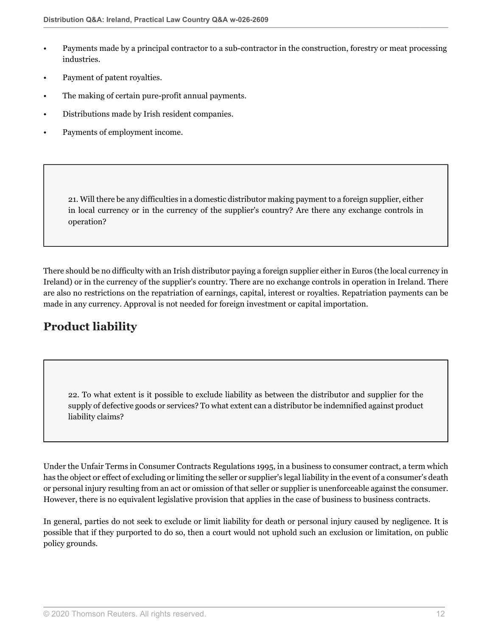- Payments made by a principal contractor to a sub-contractor in the construction, forestry or meat processing industries.
- Payment of patent royalties.
- The making of certain pure-profit annual payments.
- Distributions made by Irish resident companies.
- Payments of employment income.

21. Will there be any difficulties in a domestic distributor making payment to a foreign supplier, either in local currency or in the currency of the supplier's country? Are there any exchange controls in operation?

There should be no difficulty with an Irish distributor paying a foreign supplier either in Euros (the local currency in Ireland) or in the currency of the supplier's country. There are no exchange controls in operation in Ireland. There are also no restrictions on the repatriation of earnings, capital, interest or royalties. Repatriation payments can be made in any currency. Approval is not needed for foreign investment or capital importation.

# **Product liability**

22. To what extent is it possible to exclude liability as between the distributor and supplier for the supply of defective goods or services? To what extent can a distributor be indemnified against product liability claims?

Under the Unfair Terms in Consumer Contracts Regulations 1995, in a business to consumer contract, a term which has the object or effect of excluding or limiting the seller or supplier's legal liability in the event of a consumer's death or personal injury resulting from an act or omission of that seller or supplier is unenforceable against the consumer. However, there is no equivalent legislative provision that applies in the case of business to business contracts.

In general, parties do not seek to exclude or limit liability for death or personal injury caused by negligence. It is possible that if they purported to do so, then a court would not uphold such an exclusion or limitation, on public policy grounds.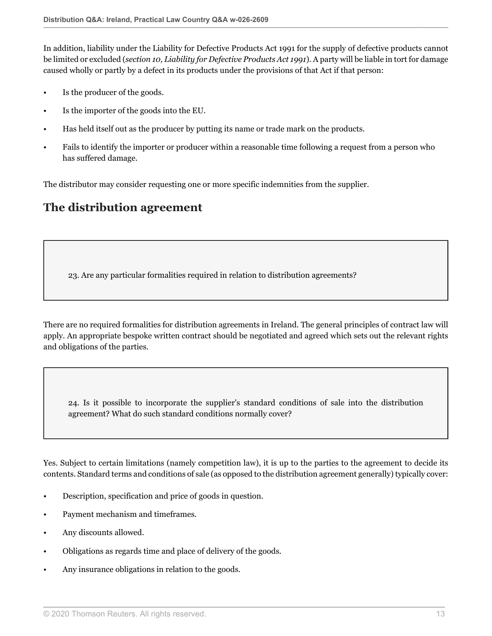In addition, liability under the Liability for Defective Products Act 1991 for the supply of defective products cannot be limited or excluded (*section 10, Liability for Defective Products Act 1991*). A party will be liable in tort for damage caused wholly or partly by a defect in its products under the provisions of that Act if that person:

- Is the producer of the goods.
- Is the importer of the goods into the EU.
- Has held itself out as the producer by putting its name or trade mark on the products.
- Fails to identify the importer or producer within a reasonable time following a request from a person who has suffered damage.

The distributor may consider requesting one or more specific indemnities from the supplier.

## **The distribution agreement**

23. Are any particular formalities required in relation to distribution agreements?

There are no required formalities for distribution agreements in Ireland. The general principles of contract law will apply. An appropriate bespoke written contract should be negotiated and agreed which sets out the relevant rights and obligations of the parties.

24. Is it possible to incorporate the supplier's standard conditions of sale into the distribution agreement? What do such standard conditions normally cover?

Yes. Subject to certain limitations (namely competition law), it is up to the parties to the agreement to decide its contents. Standard terms and conditions of sale (as opposed to the distribution agreement generally) typically cover:

- Description, specification and price of goods in question.
- Payment mechanism and timeframes.
- Any discounts allowed.
- Obligations as regards time and place of delivery of the goods.
- Any insurance obligations in relation to the goods.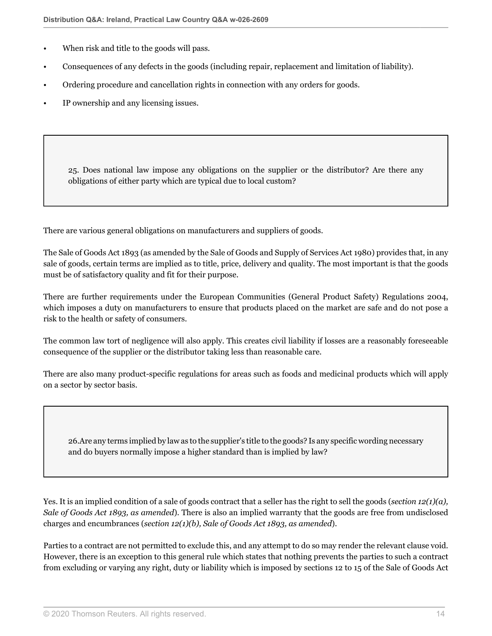- When risk and title to the goods will pass.
- Consequences of any defects in the goods (including repair, replacement and limitation of liability).
- Ordering procedure and cancellation rights in connection with any orders for goods.
- IP ownership and any licensing issues.

25. Does national law impose any obligations on the supplier or the distributor? Are there any obligations of either party which are typical due to local custom?

There are various general obligations on manufacturers and suppliers of goods.

The Sale of Goods Act 1893 (as amended by the Sale of Goods and Supply of Services Act 1980) provides that, in any sale of goods, certain terms are implied as to title, price, delivery and quality. The most important is that the goods must be of satisfactory quality and fit for their purpose.

There are further requirements under the European Communities (General Product Safety) Regulations 2004, which imposes a duty on manufacturers to ensure that products placed on the market are safe and do not pose a risk to the health or safety of consumers.

The common law tort of negligence will also apply. This creates civil liability if losses are a reasonably foreseeable consequence of the supplier or the distributor taking less than reasonable care.

There are also many product-specific regulations for areas such as foods and medicinal products which will apply on a sector by sector basis.

26.Are any terms implied by law as to the supplier's title to the goods? Is any specific wording necessary and do buyers normally impose a higher standard than is implied by law?

Yes. It is an implied condition of a sale of goods contract that a seller has the right to sell the goods (*section 12(1)(a), Sale of Goods Act 1893, as amended*). There is also an implied warranty that the goods are free from undisclosed charges and encumbrances (*section 12(1)(b), Sale of Goods Act 1893, as amended*).

Parties to a contract are not permitted to exclude this, and any attempt to do so may render the relevant clause void. However, there is an exception to this general rule which states that nothing prevents the parties to such a contract from excluding or varying any right, duty or liability which is imposed by sections 12 to 15 of the Sale of Goods Act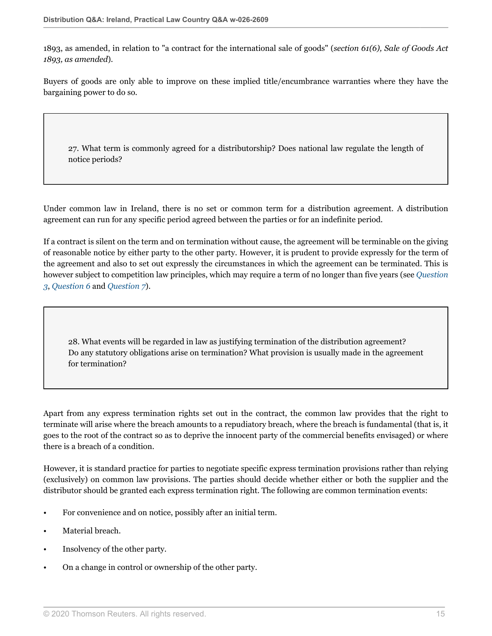1893, as amended, in relation to "a contract for the international sale of goods" (*section 61(6), Sale of Goods Act 1893, as amended*).

Buyers of goods are only able to improve on these implied title/encumbrance warranties where they have the bargaining power to do so.

27. What term is commonly agreed for a distributorship? Does national law regulate the length of notice periods?

Under common law in Ireland, there is no set or common term for a distribution agreement. A distribution agreement can run for any specific period agreed between the parties or for an indefinite period.

If a contract is silent on the term and on termination without cause, the agreement will be terminable on the giving of reasonable notice by either party to the other party. However, it is prudent to provide expressly for the term of the agreement and also to set out expressly the circumstances in which the agreement can be terminated. This is however subject to competition law principles, which may require a term of no longer than five years (see *[Question](#page-2-0) [3](#page-2-0)*, *[Question 6](#page-5-0)* and *[Question 7](#page-5-1)*).

28. What events will be regarded in law as justifying termination of the distribution agreement? Do any statutory obligations arise on termination? What provision is usually made in the agreement for termination?

Apart from any express termination rights set out in the contract, the common law provides that the right to terminate will arise where the breach amounts to a repudiatory breach, where the breach is fundamental (that is, it goes to the root of the contract so as to deprive the innocent party of the commercial benefits envisaged) or where there is a breach of a condition.

However, it is standard practice for parties to negotiate specific express termination provisions rather than relying (exclusively) on common law provisions. The parties should decide whether either or both the supplier and the distributor should be granted each express termination right. The following are common termination events:

- For convenience and on notice, possibly after an initial term.
- Material breach.
- Insolvency of the other party.
- On a change in control or ownership of the other party.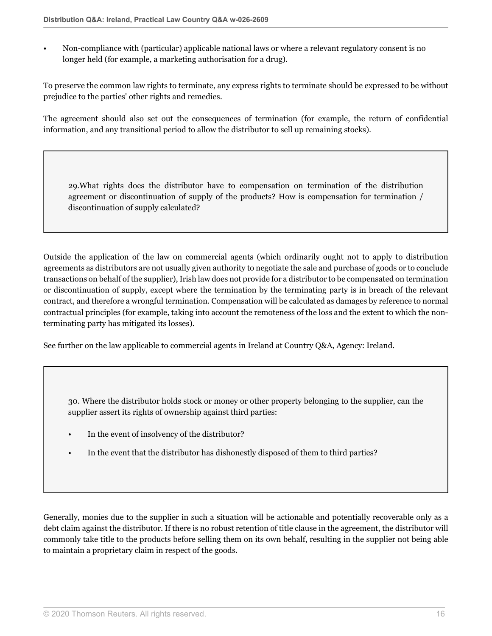• Non-compliance with (particular) applicable national laws or where a relevant regulatory consent is no longer held (for example, a marketing authorisation for a drug).

To preserve the common law rights to terminate, any express rights to terminate should be expressed to be without prejudice to the parties' other rights and remedies.

The agreement should also set out the consequences of termination (for example, the return of confidential information, and any transitional period to allow the distributor to sell up remaining stocks).

29.What rights does the distributor have to compensation on termination of the distribution agreement or discontinuation of supply of the products? How is compensation for termination / discontinuation of supply calculated?

Outside the application of the law on commercial agents (which ordinarily ought not to apply to distribution agreements as distributors are not usually given authority to negotiate the sale and purchase of goods or to conclude transactions on behalf of the supplier), Irish law does not provide for a distributor to be compensated on termination or discontinuation of supply, except where the termination by the terminating party is in breach of the relevant contract, and therefore a wrongful termination. Compensation will be calculated as damages by reference to normal contractual principles (for example, taking into account the remoteness of the loss and the extent to which the nonterminating party has mitigated its losses).

See further on the law applicable to commercial agents in Ireland at Country Q&A, Agency: Ireland.

30. Where the distributor holds stock or money or other property belonging to the supplier, can the supplier assert its rights of ownership against third parties:

- In the event of insolvency of the distributor?
- In the event that the distributor has dishonestly disposed of them to third parties?

Generally, monies due to the supplier in such a situation will be actionable and potentially recoverable only as a debt claim against the distributor. If there is no robust retention of title clause in the agreement, the distributor will commonly take title to the products before selling them on its own behalf, resulting in the supplier not being able to maintain a proprietary claim in respect of the goods.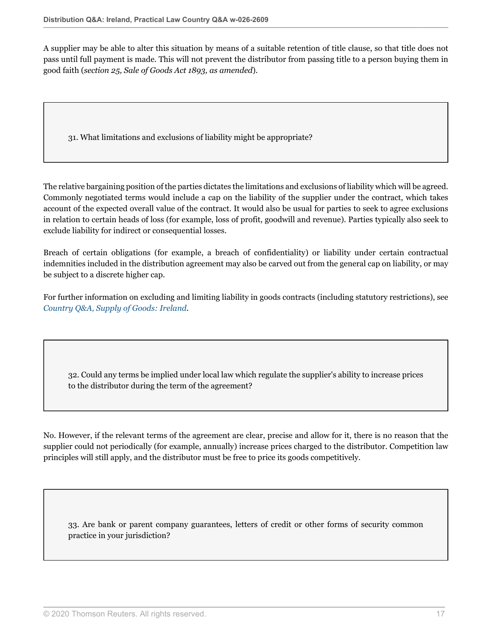A supplier may be able to alter this situation by means of a suitable retention of title clause, so that title does not pass until full payment is made. This will not prevent the distributor from passing title to a person buying them in good faith (*section 25, Sale of Goods Act 1893, as amended*).

31. What limitations and exclusions of liability might be appropriate?

The relative bargaining position of the parties dictates the limitations and exclusions of liability which will be agreed. Commonly negotiated terms would include a cap on the liability of the supplier under the contract, which takes account of the expected overall value of the contract. It would also be usual for parties to seek to agree exclusions in relation to certain heads of loss (for example, loss of profit, goodwill and revenue). Parties typically also seek to exclude liability for indirect or consequential losses.

Breach of certain obligations (for example, a breach of confidentiality) or liability under certain contractual indemnities included in the distribution agreement may also be carved out from the general cap on liability, or may be subject to a discrete higher cap.

For further information on excluding and limiting liability in goods contracts (including statutory restrictions), see *[Country Q&A, Supply of Goods: Ireland](http://uk.practicallaw.thomsonreuters.com/w-022-1436?originationContext=document&vr=3.0&rs=PLUK1.0&transitionType=DocumentItem&contextData=(sc.Default))*.

32. Could any terms be implied under local law which regulate the supplier's ability to increase prices to the distributor during the term of the agreement?

No. However, if the relevant terms of the agreement are clear, precise and allow for it, there is no reason that the supplier could not periodically (for example, annually) increase prices charged to the distributor. Competition law principles will still apply, and the distributor must be free to price its goods competitively.

33. Are bank or parent company guarantees, letters of credit or other forms of security common practice in your jurisdiction?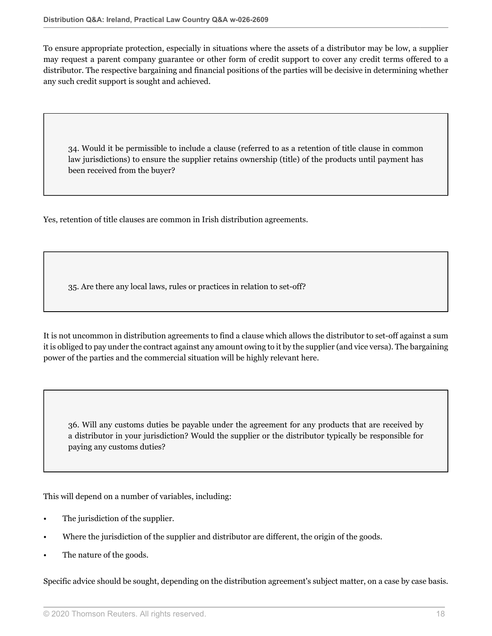To ensure appropriate protection, especially in situations where the assets of a distributor may be low, a supplier may request a parent company guarantee or other form of credit support to cover any credit terms offered to a distributor. The respective bargaining and financial positions of the parties will be decisive in determining whether any such credit support is sought and achieved.

34. Would it be permissible to include a clause (referred to as a retention of title clause in common law jurisdictions) to ensure the supplier retains ownership (title) of the products until payment has been received from the buyer?

Yes, retention of title clauses are common in Irish distribution agreements.

35. Are there any local laws, rules or practices in relation to set-off?

It is not uncommon in distribution agreements to find a clause which allows the distributor to set-off against a sum it is obliged to pay under the contract against any amount owing to it by the supplier (and vice versa). The bargaining power of the parties and the commercial situation will be highly relevant here.

36. Will any customs duties be payable under the agreement for any products that are received by a distributor in your jurisdiction? Would the supplier or the distributor typically be responsible for paying any customs duties?

This will depend on a number of variables, including:

- The jurisdiction of the supplier.
- Where the jurisdiction of the supplier and distributor are different, the origin of the goods.
- The nature of the goods.

Specific advice should be sought, depending on the distribution agreement's subject matter, on a case by case basis.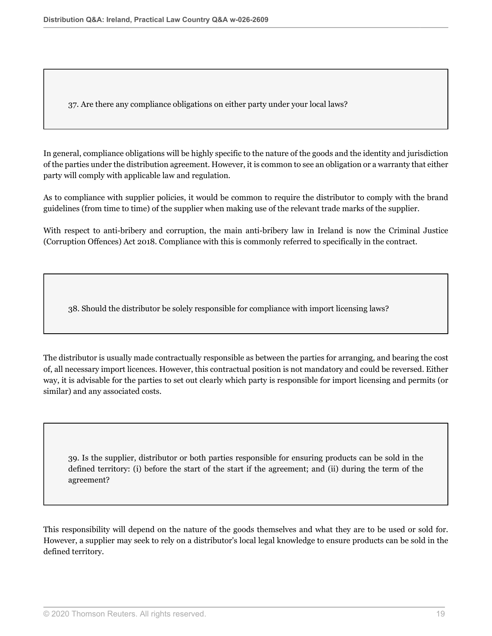37. Are there any compliance obligations on either party under your local laws?

In general, compliance obligations will be highly specific to the nature of the goods and the identity and jurisdiction of the parties under the distribution agreement. However, it is common to see an obligation or a warranty that either party will comply with applicable law and regulation.

As to compliance with supplier policies, it would be common to require the distributor to comply with the brand guidelines (from time to time) of the supplier when making use of the relevant trade marks of the supplier.

With respect to anti-bribery and corruption, the main anti-bribery law in Ireland is now the Criminal Justice (Corruption Offences) Act 2018. Compliance with this is commonly referred to specifically in the contract.

38. Should the distributor be solely responsible for compliance with import licensing laws?

The distributor is usually made contractually responsible as between the parties for arranging, and bearing the cost of, all necessary import licences. However, this contractual position is not mandatory and could be reversed. Either way, it is advisable for the parties to set out clearly which party is responsible for import licensing and permits (or similar) and any associated costs.

39. Is the supplier, distributor or both parties responsible for ensuring products can be sold in the defined territory: (i) before the start of the start if the agreement; and (ii) during the term of the agreement?

This responsibility will depend on the nature of the goods themselves and what they are to be used or sold for. However, a supplier may seek to rely on a distributor's local legal knowledge to ensure products can be sold in the defined territory.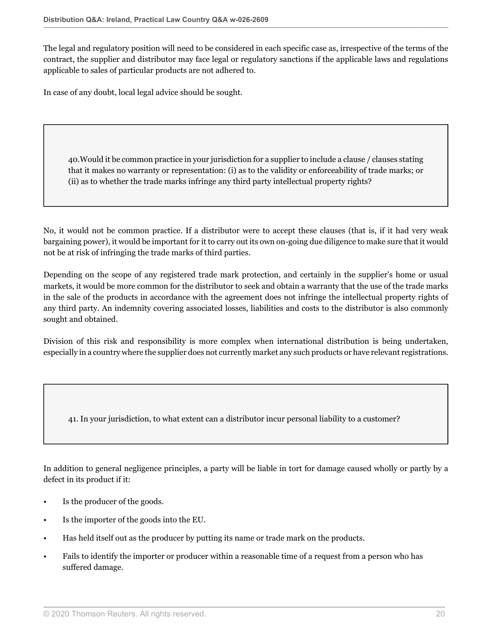The legal and regulatory position will need to be considered in each specific case as, irrespective of the terms of the contract, the supplier and distributor may face legal or regulatory sanctions if the applicable laws and regulations applicable to sales of particular products are not adhered to.

In case of any doubt, local legal advice should be sought.

40.Would it be common practice in your jurisdiction for a supplier to include a clause / clauses stating that it makes no warranty or representation: (i) as to the validity or enforceability of trade marks; or (ii) as to whether the trade marks infringe any third party intellectual property rights?

No, it would not be common practice. If a distributor were to accept these clauses (that is, if it had very weak bargaining power), it would be important for it to carry out its own on-going due diligence to make sure that it would not be at risk of infringing the trade marks of third parties.

Depending on the scope of any registered trade mark protection, and certainly in the supplier's home or usual markets, it would be more common for the distributor to seek and obtain a warranty that the use of the trade marks in the sale of the products in accordance with the agreement does not infringe the intellectual property rights of any third party. An indemnity covering associated losses, liabilities and costs to the distributor is also commonly sought and obtained.

Division of this risk and responsibility is more complex when international distribution is being undertaken, especially in a country where the supplier does not currently market any such products or have relevant registrations.

41. In your jurisdiction, to what extent can a distributor incur personal liability to a customer?

In addition to general negligence principles, a party will be liable in tort for damage caused wholly or partly by a defect in its product if it:

- Is the producer of the goods.
- Is the importer of the goods into the EU.
- Has held itself out as the producer by putting its name or trade mark on the products.
- Fails to identify the importer or producer within a reasonable time of a request from a person who has suffered damage.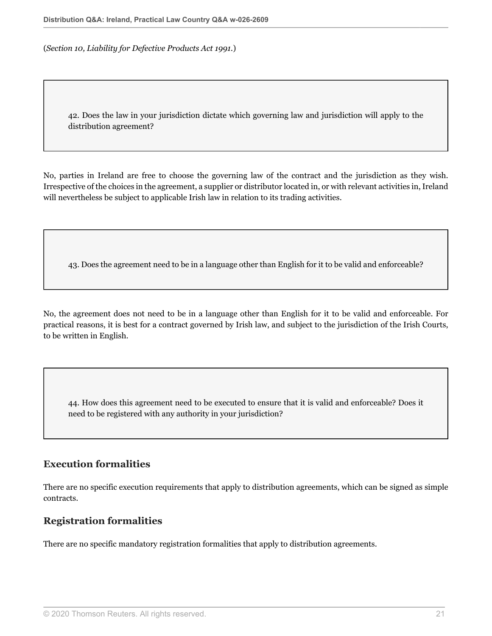(*Section 10, Liability for Defective Products Act 1991.*)

42. Does the law in your jurisdiction dictate which governing law and jurisdiction will apply to the distribution agreement?

No, parties in Ireland are free to choose the governing law of the contract and the jurisdiction as they wish. Irrespective of the choices in the agreement, a supplier or distributor located in, or with relevant activities in, Ireland will nevertheless be subject to applicable Irish law in relation to its trading activities.

43. Does the agreement need to be in a language other than English for it to be valid and enforceable?

No, the agreement does not need to be in a language other than English for it to be valid and enforceable. For practical reasons, it is best for a contract governed by Irish law, and subject to the jurisdiction of the Irish Courts, to be written in English.

44. How does this agreement need to be executed to ensure that it is valid and enforceable? Does it need to be registered with any authority in your jurisdiction?

### **Execution formalities**

There are no specific execution requirements that apply to distribution agreements, which can be signed as simple contracts.

#### **Registration formalities**

There are no specific mandatory registration formalities that apply to distribution agreements.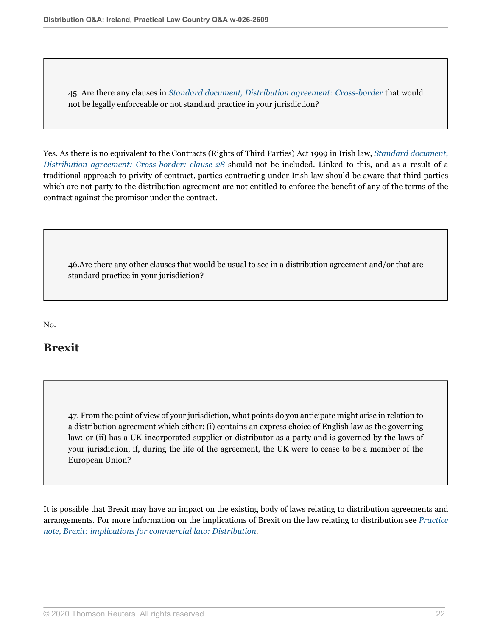45. Are there any clauses in *[Standard document, Distribution agreement: Cross-border](http://uk.practicallaw.thomsonreuters.com/1-101-7457?originationContext=document&vr=3.0&rs=PLUK1.0&transitionType=DocumentItem&contextData=(sc.Default))* that would not be legally enforceable or not standard practice in your jurisdiction?

Yes. As there is no equivalent to the Contracts (Rights of Third Parties) Act 1999 in Irish law, *[Standard document,](http://uk.practicallaw.thomsonreuters.com/1-101-7457?originationContext=document&vr=3.0&rs=PLUK1.0&transitionType=DocumentItem&contextData=(sc.Default)#co_anchor_a575580) [Distribution agreement: Cross-border: clause 28](http://uk.practicallaw.thomsonreuters.com/1-101-7457?originationContext=document&vr=3.0&rs=PLUK1.0&transitionType=DocumentItem&contextData=(sc.Default)#co_anchor_a575580)* should not be included. Linked to this, and as a result of a traditional approach to privity of contract, parties contracting under Irish law should be aware that third parties which are not party to the distribution agreement are not entitled to enforce the benefit of any of the terms of the contract against the promisor under the contract.

46.Are there any other clauses that would be usual to see in a distribution agreement and/or that are standard practice in your jurisdiction?

No.

## **Brexit**

<span id="page-21-0"></span>47. From the point of view of your jurisdiction, what points do you anticipate might arise in relation to a distribution agreement which either: (i) contains an express choice of English law as the governing law; or (ii) has a UK-incorporated supplier or distributor as a party and is governed by the laws of your jurisdiction, if, during the life of the agreement, the UK were to cease to be a member of the European Union?

It is possible that Brexit may have an impact on the existing body of laws relating to distribution agreements and arrangements. For more information on the implications of Brexit on the law relating to distribution see *[Practice](http://uk.practicallaw.thomsonreuters.com/w-004-3766?originationContext=document&vr=3.0&rs=PLUK1.0&transitionType=DocumentItem&contextData=(sc.Default)#co_anchor_a368016) [note, Brexit: implications for commercial law: Distribution](http://uk.practicallaw.thomsonreuters.com/w-004-3766?originationContext=document&vr=3.0&rs=PLUK1.0&transitionType=DocumentItem&contextData=(sc.Default)#co_anchor_a368016)*.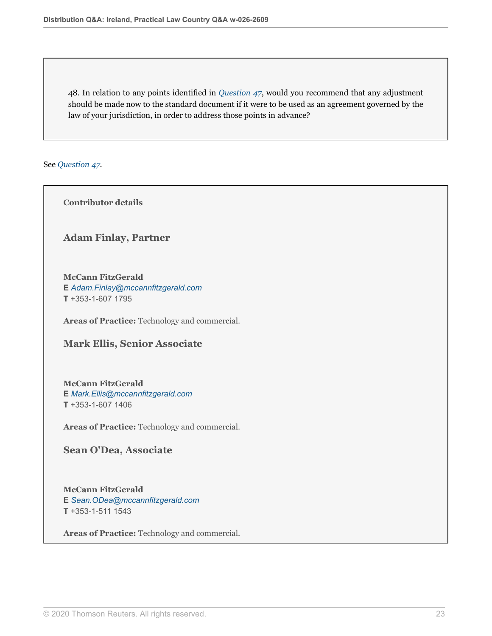48. In relation to any points identified in *[Question 47](#page-21-0)*, would you recommend that any adjustment should be made now to the standard document if it were to be used as an agreement governed by the law of your jurisdiction, in order to address those points in advance?

See *[Question 47](#page-21-0)*.

**Contributor details**

**Adam Finlay, Partner**

**McCann FitzGerald E** *[Adam.Finlay@mccannfitzgerald.com](mailto:Adam.Finlay@mccannfitzgerald.com)* **T** +353-1-607 1795

**Areas of Practice:** Technology and commercial.

**Mark Ellis, Senior Associate**

**McCann FitzGerald E** *[Mark.Ellis@mccannfitzgerald.com](mailto:Mark.Ellis@mccannfitzgerald.com)* **T** +353-1-607 1406

**Areas of Practice:** Technology and commercial.

**Sean O'Dea, Associate**

**McCann FitzGerald E** *[Sean.ODea@mccannfitzgerald.com](mailto:Sean.ODea@mccannfitzgerald.com)* **T** +353-1-511 1543

**Areas of Practice:** Technology and commercial.